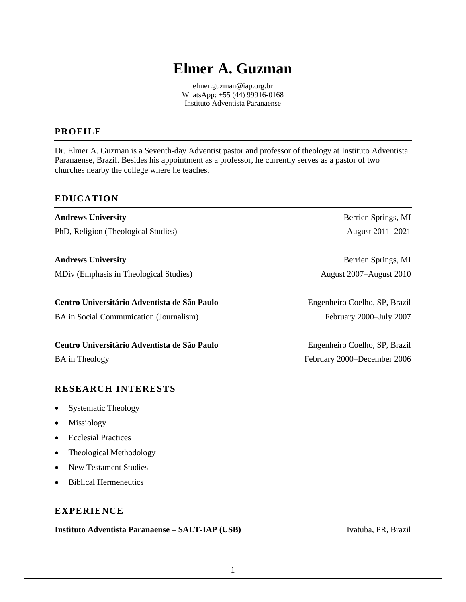# **Elmer A. Guzman**

[elmer.guzman@iap.org.br](mailto:elmer.guzman@iap.org.br) WhatsApp: +55 (44) 99916-0168 Instituto Adventista Paranaense

# **PROFILE**

Dr. Elmer A. Guzman is a Seventh-day Adventist pastor and professor of theology at Instituto Adventista Paranaense, Brazil. Besides his appointment as a professor, he currently serves as a pastor of two churches nearby the college where he teaches.

# **EDUCATION**

**Andrews University** Berrien Springs, MI PhD, Religion (Theological Studies) August 2011–2021 **Andrews University** Berrien Springs, MI MDiv (Emphasis in Theological Studies) August 2007–August 2010

BA in Social Communication (Journalism) February 2000–July 2007

**Centro Universitário Adventista de São Paulo** Engenheiro Coelho, SP, Brazil

# **RESEARCH INTERESTS**

- Systematic Theology
- **Missiology**
- Ecclesial Practices
- Theological Methodology
- New Testament Studies
- Biblical Hermeneutics

# **EXPERIENCE**

**Instituto Adventista Paranaense – SALT-IAP (USB)** Ivatuba, PR, Brazil

**Centro Universitário Adventista de São Paulo** Engenheiro Coelho, SP, Brazil

BA in Theology February 2000–December 2006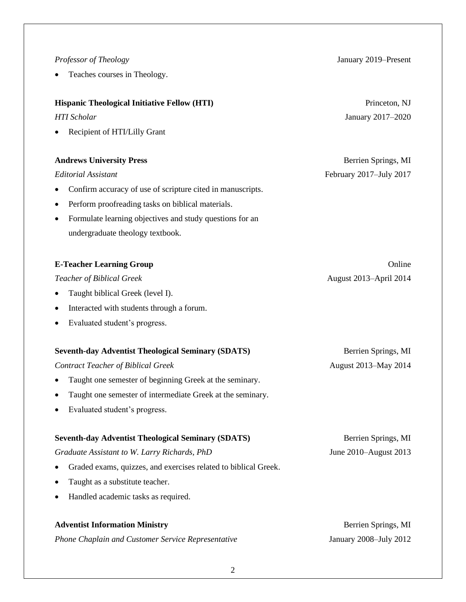#### *Professor of Theology* January 2019–Present

Teaches courses in Theology.

#### **Hispanic Theological Initiative Fellow (HTI)** Princeton, NJ

• Recipient of HTI/Lilly Grant

#### **Andrews University Press** Berrien Springs, MI

- Confirm accuracy of use of scripture cited in manuscripts.
- Perform proofreading tasks on biblical materials.
- Formulate learning objectives and study questions for an undergraduate theology textbook.

## **E-Teacher Learning Group Online**

### *Teacher of Biblical Greek* August 2013–April 2014

- Taught biblical Greek (level I).
- Interacted with students through a forum.
- Evaluated student's progress.

#### **Seventh-day Adventist Theological Seminary (SDATS)** Berrien Springs, MI

#### *Contract Teacher of Biblical Greek* August 2013–May 2014

- Taught one semester of beginning Greek at the seminary.
- Taught one semester of intermediate Greek at the seminary.
- Evaluated student's progress.

#### **Seventh-day Adventist Theological Seminary (SDATS)** Berrien Springs, MI

*Graduate Assistant to W. Larry Richards, PhD* June 2010–August 2013

- Graded exams, quizzes, and exercises related to biblical Greek.
- Taught as a substitute teacher.
- Handled academic tasks as required.

# **Adventist Information Ministry Serverse Springs, MI and Springs, MI and Springs, MI** *Phone Chaplain and Customer Service Representative* January 2008–July 2012

*HTI Scholar* January 2017–2020

*Editorial Assistant* February 2017–July 2017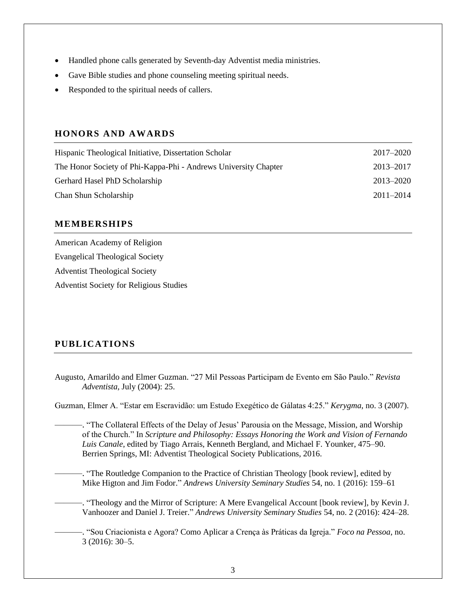- Handled phone calls generated by Seventh-day Adventist media ministries.
- Gave Bible studies and phone counseling meeting spiritual needs.
- Responded to the spiritual needs of callers.

# **HONORS AND AWARDS**

| Hispanic Theological Initiative, Dissertation Scholar           | $2017 - 2020$ |
|-----------------------------------------------------------------|---------------|
| The Honor Society of Phi-Kappa-Phi - Andrews University Chapter | 2013–2017     |
| Gerhard Hasel PhD Scholarship                                   | $2013 - 2020$ |
| Chan Shun Scholarship                                           | $2011 - 2014$ |

# **MEMBERSHIPS**

American Academy of Religion Evangelical Theological Society Adventist Theological Society Adventist Society for Religious Studies

# **PUBLICATIONS**

Augusto, Amarildo and Elmer Guzman. "27 Mil Pessoas Participam de Evento em São Paulo." *Revista Adventista,* July (2004): 25.

Guzman, Elmer A. "Estar em Escravidão: um Estudo Exegético de Gálatas 4:25." *Kerygma*, no. 3 (2007).

———. "The Collateral Effects of the Delay of Jesus' Parousia on the Message, Mission, and Worship of the Church." In *Scripture and Philosophy: Essays Honoring the Work and Vision of Fernando Luis Canale*, edited by Tiago Arrais, Kenneth Bergland, and Michael F. Younker, 475–90. Berrien Springs, MI: Adventist Theological Society Publications, 2016.

———. "The Routledge Companion to the Practice of Christian Theology [book review], edited by Mike Higton and Jim Fodor." *Andrews University Seminary Studies* 54, no. 1 (2016): 159–61

- ———. "Theology and the Mirror of Scripture: A Mere Evangelical Account [book review], by Kevin J. Vanhoozer and Daniel J. Treier." *Andrews University Seminary Studies* 54, no. 2 (2016): 424–28.
- ———. "Sou Criacionista e Agora? Como Aplicar a Crença às Práticas da Igreja." *Foco na Pessoa*, no. 3 (2016): 30–5.